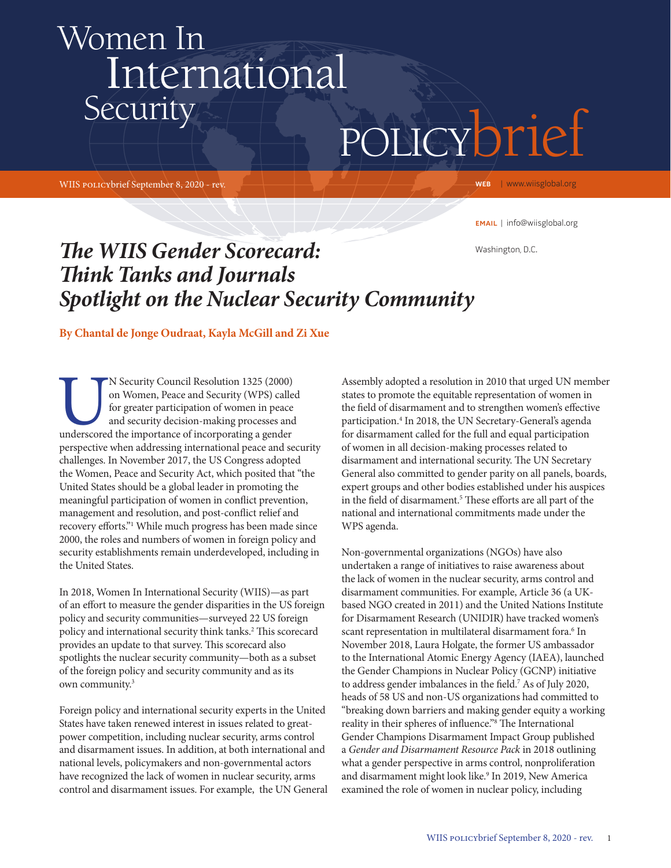## policybrief Women In International **Security**

WIIS policybrief September 8, 2020 - rev.

WEB | www.wiisglobal.org

email | info@wiisglobal.org

Washington, D.C.

## *The WIIS Gender Scorecard: Think Tanks and Journals Spotlight on the Nuclear Security Community*

**By Chantal de Jonge Oudraat, Kayla McGill and Zi Xue**

N Security Council Resolution 1325 (2000)<br>
on Women, Peace and Security (WPS) calle<br>
for greater participation of women in peace<br>
and security decision-making processes and<br>
underscored the importance of incorporating a ge on Women, Peace and Security (WPS) called for greater participation of women in peace and security decision-making processes and perspective when addressing international peace and security challenges. In November 2017, the US Congress adopted the Women, Peace and Security Act, which posited that "the United States should be a global leader in promoting the meaningful participation of women in conflict prevention, management and resolution, and post-conflict relief and recovery efforts."1 While much progress has been made since 2000, the roles and numbers of women in foreign policy and security establishments remain underdeveloped, including in the United States.

In 2018, Women In International Security (WIIS)—as part of an effort to measure the gender disparities in the US foreign policy and security communities—surveyed 22 US foreign policy and international security think tanks.<sup>2</sup> This scorecard provides an update to that survey. This scorecard also spotlights the nuclear security community—both as a subset of the foreign policy and security community and as its own community.3

Foreign policy and international security experts in the United States have taken renewed interest in issues related to greatpower competition, including nuclear security, arms control and disarmament issues. In addition, at both international and national levels, policymakers and non-governmental actors have recognized the lack of women in nuclear security, arms control and disarmament issues. For example, the UN General

Assembly adopted a resolution in 2010 that urged UN member states to promote the equitable representation of women in the field of disarmament and to strengthen women's effective participation.4 In 2018, the UN Secretary-General's agenda for disarmament called for the full and equal participation of women in all decision-making processes related to disarmament and international security. The UN Secretary General also committed to gender parity on all panels, boards, expert groups and other bodies established under his auspices in the field of disarmament.<sup>5</sup> These efforts are all part of the national and international commitments made under the WPS agenda.

Non-governmental organizations (NGOs) have also undertaken a range of initiatives to raise awareness about the lack of women in the nuclear security, arms control and disarmament communities. For example, Article 36 (a UKbased NGO created in 2011) and the United Nations Institute for Disarmament Research (UNIDIR) have tracked women's scant representation in multilateral disarmament fora.<sup>6</sup> In November 2018, Laura Holgate, the former US ambassador to the International Atomic Energy Agency (IAEA), launched the Gender Champions in Nuclear Policy (GCNP) initiative to address gender imbalances in the field.7 As of July 2020, heads of 58 US and non-US organizations had committed to "breaking down barriers and making gender equity a working reality in their spheres of influence."8 The International Gender Champions Disarmament Impact Group published a *Gender and Disarmament Resource Pack* in 2018 outlining what a gender perspective in arms control, nonproliferation and disarmament might look like.<sup>9</sup> In 2019, New America examined the role of women in nuclear policy, including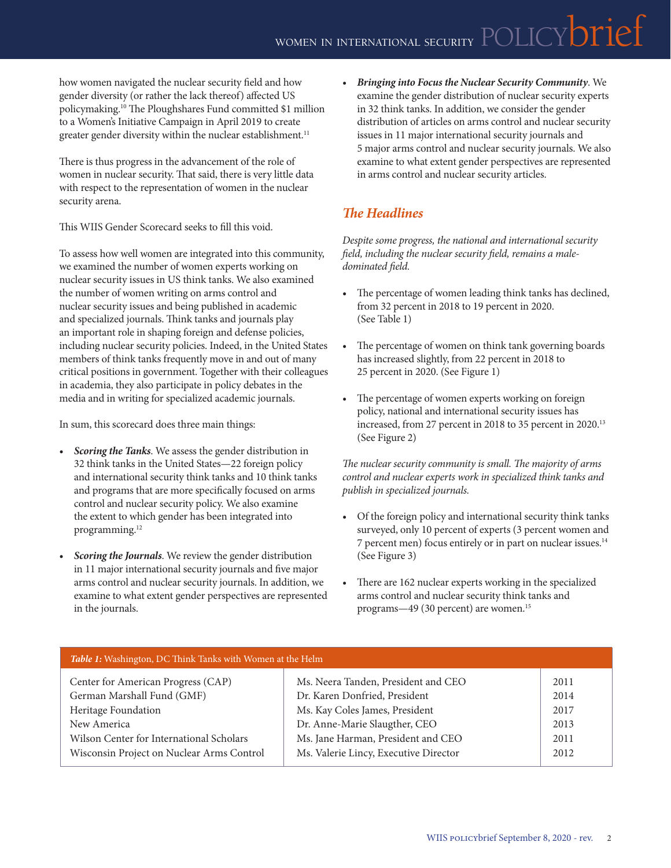how women navigated the nuclear security field and how gender diversity (or rather the lack thereof) affected US policymaking.10 The Ploughshares Fund committed \$1 million to a Women's Initiative Campaign in April 2019 to create greater gender diversity within the nuclear establishment.<sup>11</sup>

There is thus progress in the advancement of the role of women in nuclear security. That said, there is very little data with respect to the representation of women in the nuclear security arena.

This WIIS Gender Scorecard seeks to fill this void.

To assess how well women are integrated into this community, we examined the number of women experts working on nuclear security issues in US think tanks. We also examined the number of women writing on arms control and nuclear security issues and being published in academic and specialized journals. Think tanks and journals play an important role in shaping foreign and defense policies, including nuclear security policies. Indeed, in the United States members of think tanks frequently move in and out of many critical positions in government. Together with their colleagues in academia, they also participate in policy debates in the media and in writing for specialized academic journals.

In sum, this scorecard does three main things:

- *• Scoring the Tanks*. We assess the gender distribution in 32 think tanks in the United States—22 foreign policy and international security think tanks and 10 think tanks and programs that are more specifically focused on arms control and nuclear security policy. We also examine the extent to which gender has been integrated into programming.<sup>12</sup>
- *• Scoring the Journals*. We review the gender distribution in 11 major international security journals and five major arms control and nuclear security journals. In addition, we examine to what extent gender perspectives are represented in the journals.

*• Bringing into Focus the Nuclear Security Community*. We examine the gender distribution of nuclear security experts in 32 think tanks. In addition, we consider the gender distribution of articles on arms control and nuclear security issues in 11 major international security journals and 5 major arms control and nuclear security journals. We also examine to what extent gender perspectives are represented in arms control and nuclear security articles.

## *The Headlines*

*Despite some progress, the national and international security field, including the nuclear security field, remains a maledominated field.*

- The percentage of women leading think tanks has declined, from 32 percent in 2018 to 19 percent in 2020. (See Table 1)
- The percentage of women on think tank governing boards has increased slightly, from 22 percent in 2018 to 25 percent in 2020. (See Figure 1)
- *•* The percentage of women experts working on foreign policy, national and international security issues has increased, from 27 percent in 2018 to 35 percent in 2020.13 (See Figure 2)

*The nuclear security community is small. The majority of arms control and nuclear experts work in specialized think tanks and publish in specialized journals.* 

- *•* Of the foreign policy and international security think tanks surveyed, only 10 percent of experts (3 percent women and 7 percent men) focus entirely or in part on nuclear issues.14 (See Figure 3)
- *•* There are 162 nuclear experts working in the specialized arms control and nuclear security think tanks and programs—49 (30 percent) are women.<sup>15</sup>

| Table 1: Washington, DC Think Tanks with Women at the Helm |                                       |      |  |  |  |  |
|------------------------------------------------------------|---------------------------------------|------|--|--|--|--|
| Center for American Progress (CAP)                         | Ms. Neera Tanden, President and CEO   | 2011 |  |  |  |  |
| German Marshall Fund (GMF)                                 | Dr. Karen Donfried, President         | 2014 |  |  |  |  |
| Heritage Foundation                                        | Ms. Kay Coles James, President        | 2017 |  |  |  |  |
| New America                                                | Dr. Anne-Marie Slaugther, CEO         | 2013 |  |  |  |  |
| Wilson Center for International Scholars                   | Ms. Jane Harman, President and CEO    | 2011 |  |  |  |  |
| Wisconsin Project on Nuclear Arms Control                  | Ms. Valerie Lincy, Executive Director | 2012 |  |  |  |  |
|                                                            |                                       |      |  |  |  |  |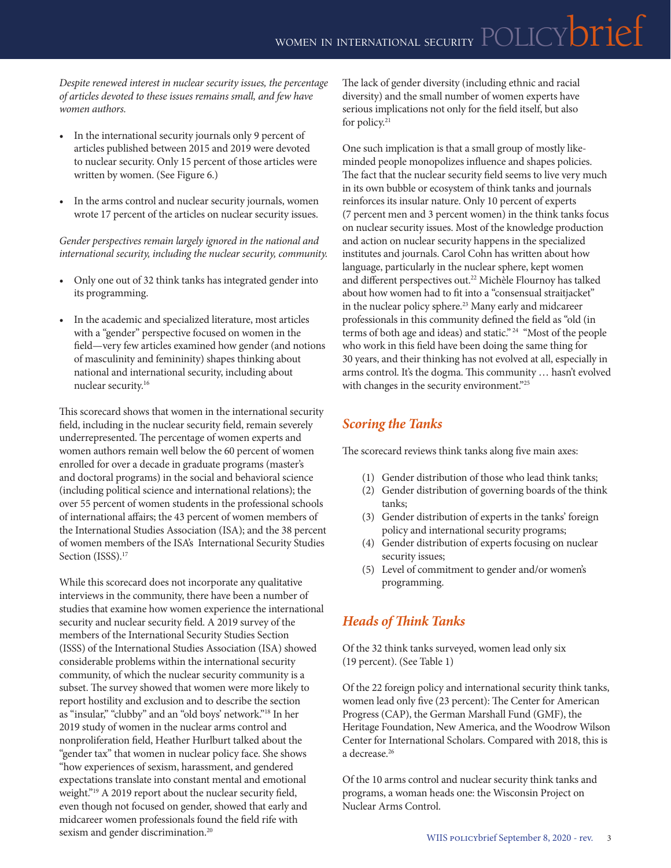*Despite renewed interest in nuclear security issues, the percentage of articles devoted to these issues remains small, and few have women authors.*

- *•* In the international security journals only 9 percent of articles published between 2015 and 2019 were devoted to nuclear security. Only 15 percent of those articles were written by women. (See Figure 6.)
- *•* In the arms control and nuclear security journals, women wrote 17 percent of the articles on nuclear security issues.

*Gender perspectives remain largely ignored in the national and international security, including the nuclear security, community.*

- *•* Only one out of 32 think tanks has integrated gender into its programming.
- *•* In the academic and specialized literature, most articles with a "gender" perspective focused on women in the field—very few articles examined how gender (and notions of masculinity and femininity) shapes thinking about national and international security, including about nuclear security.16

This scorecard shows that women in the international security field, including in the nuclear security field, remain severely underrepresented. The percentage of women experts and women authors remain well below the 60 percent of women enrolled for over a decade in graduate programs (master's and doctoral programs) in the social and behavioral science (including political science and international relations); the over 55 percent of women students in the professional schools of international affairs; the 43 percent of women members of the International Studies Association (ISA); and the 38 percent of women members of the ISA's International Security Studies Section (ISSS).<sup>17</sup>

While this scorecard does not incorporate any qualitative interviews in the community, there have been a number of studies that examine how women experience the international security and nuclear security field. A 2019 survey of the members of the International Security Studies Section (ISSS) of the International Studies Association (ISA) showed considerable problems within the international security community, of which the nuclear security community is a subset. The survey showed that women were more likely to report hostility and exclusion and to describe the section as "insular," "clubby" and an "old boys' network."18 In her 2019 study of women in the nuclear arms control and nonproliferation field, Heather Hurlburt talked about the "gender tax" that women in nuclear policy face. She shows "how experiences of sexism, harassment, and gendered expectations translate into constant mental and emotional weight."19 A 2019 report about the nuclear security field, even though not focused on gender, showed that early and midcareer women professionals found the field rife with sexism and gender discrimination.<sup>20</sup>

The lack of gender diversity (including ethnic and racial diversity) and the small number of women experts have serious implications not only for the field itself, but also for policy.<sup>21</sup>

One such implication is that a small group of mostly likeminded people monopolizes influence and shapes policies. The fact that the nuclear security field seems to live very much in its own bubble or ecosystem of think tanks and journals reinforces its insular nature. Only 10 percent of experts (7 percent men and 3 percent women) in the think tanks focus on nuclear security issues. Most of the knowledge production and action on nuclear security happens in the specialized institutes and journals. Carol Cohn has written about how language, particularly in the nuclear sphere, kept women and different perspectives out.<sup>22</sup> Michèle Flournoy has talked about how women had to fit into a "consensual straitjacket" in the nuclear policy sphere.<sup>23</sup> Many early and midcareer professionals in this community defined the field as "old (in terms of both age and ideas) and static." 24 "Most of the people who work in this field have been doing the same thing for 30 years, and their thinking has not evolved at all, especially in arms control. It's the dogma. This community … hasn't evolved with changes in the security environment."<sup>25</sup>

## *Scoring the Tanks*

The scorecard reviews think tanks along five main axes:

- (1) Gender distribution of those who lead think tanks;
- (2) Gender distribution of governing boards of the think tanks;
- (3) Gender distribution of experts in the tanks' foreign policy and international security programs;
- (4) Gender distribution of experts focusing on nuclear security issues;
- (5) Level of commitment to gender and/or women's programming.

## *Heads of Think Tanks*

Of the 32 think tanks surveyed, women lead only six (19 percent). (See Table 1)

Of the 22 foreign policy and international security think tanks, women lead only five (23 percent): The Center for American Progress (CAP), the German Marshall Fund (GMF), the Heritage Foundation, New America, and the Woodrow Wilson Center for International Scholars. Compared with 2018, this is a decrease.26

Of the 10 arms control and nuclear security think tanks and programs, a woman heads one: the Wisconsin Project on Nuclear Arms Control.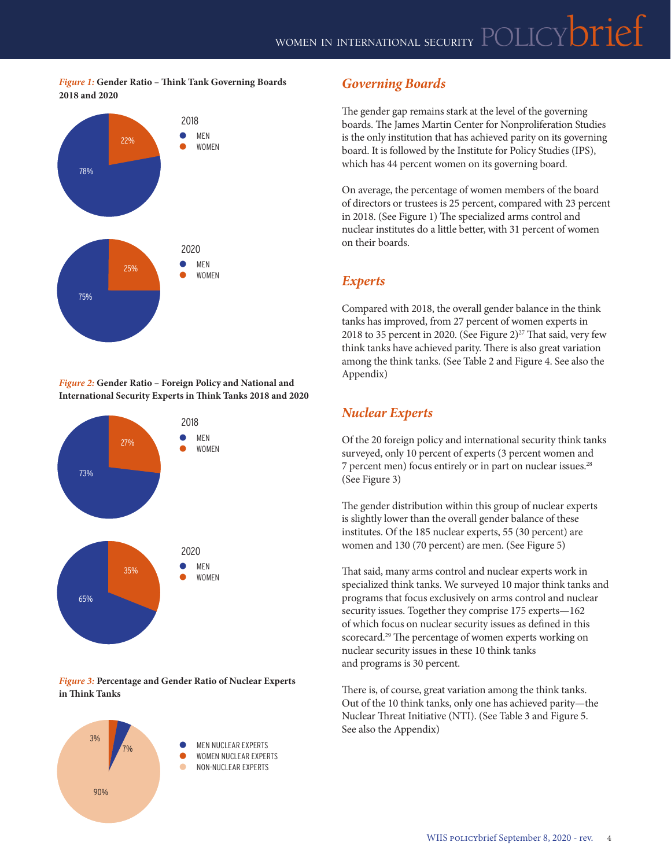#### *Figure 1:* **Gender Ratio – Think Tank Governing Boards 2018 and 2020**



*Figure 2:* **Gender Ratio – Foreign Policy and National and International Security Experts in Think Tanks 2018 and 2020**



#### *Figure 3:* **Percentage and Gender Ratio of Nuclear Experts in Think Tanks**



## *Governing Boards*

The gender gap remains stark at the level of the governing boards. The James Martin Center for Nonproliferation Studies is the only institution that has achieved parity on its governing board. It is followed by the Institute for Policy Studies (IPS), which has 44 percent women on its governing board.

On average, the percentage of women members of the board of directors or trustees is 25 percent, compared with 23 percent in 2018. (See Figure 1) The specialized arms control and nuclear institutes do a little better, with 31 percent of women on their boards.

## *Experts*

Compared with 2018, the overall gender balance in the think tanks has improved, from 27 percent of women experts in 2018 to 35 percent in 2020. (See Figure 2) $27$  That said, very few think tanks have achieved parity. There is also great variation among the think tanks. (See Table 2 and Figure 4. See also the Appendix)

## *Nuclear Experts*

Of the 20 foreign policy and international security think tanks surveyed, only 10 percent of experts (3 percent women and 7 percent men) focus entirely or in part on nuclear issues.28 (See Figure 3)

The gender distribution within this group of nuclear experts is slightly lower than the overall gender balance of these institutes. Of the 185 nuclear experts, 55 (30 percent) are women and 130 (70 percent) are men. (See Figure 5)

That said, many arms control and nuclear experts work in specialized think tanks. We surveyed 10 major think tanks and programs that focus exclusively on arms control and nuclear security issues. Together they comprise 175 experts—162 of which focus on nuclear security issues as defined in this scorecard.<sup>29</sup> The percentage of women experts working on nuclear security issues in these 10 think tanks and programs is 30 percent.

There is, of course, great variation among the think tanks. Out of the 10 think tanks, only one has achieved parity—the Nuclear Threat Initiative (NTI). (See Table 3 and Figure 5. See also the Appendix)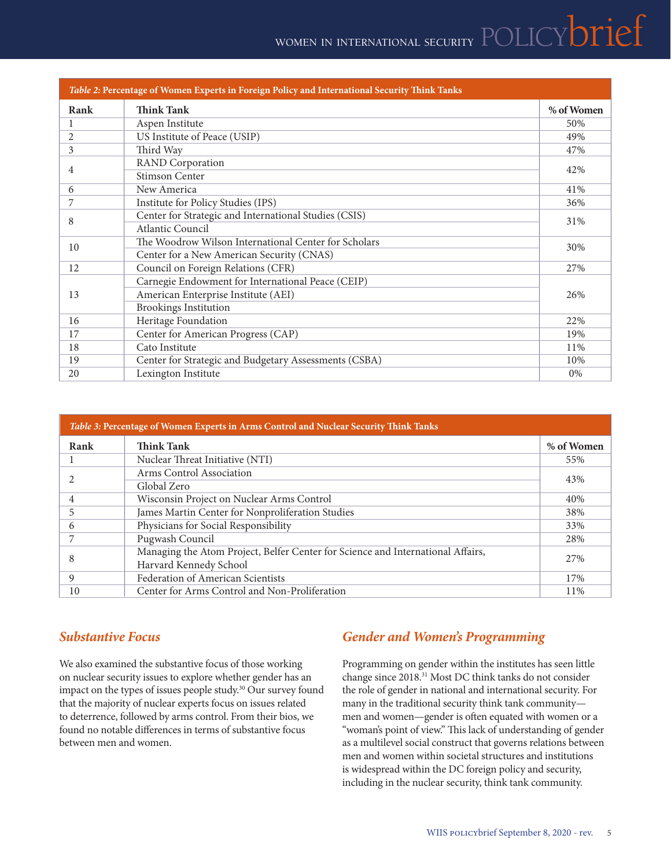# WOMEN IN INTERNATIONAL SECURITY POLICY **DITIEF**

|      | Table 2: Percentage of Women Experts in Foreign Policy and International Security Think Tanks |            |  |  |  |
|------|-----------------------------------------------------------------------------------------------|------------|--|--|--|
| Rank | <b>Think Tank</b>                                                                             | % of Women |  |  |  |
| 1    | Aspen Institute                                                                               | 50%        |  |  |  |
| 2    | US Institute of Peace (USIP)                                                                  | 49%        |  |  |  |
| 3    | Third Way                                                                                     | 47%        |  |  |  |
| 4    | <b>RAND</b> Corporation                                                                       |            |  |  |  |
|      | Stimson Center                                                                                | 42%        |  |  |  |
| 6    | New America                                                                                   | 41%        |  |  |  |
| 7    | Institute for Policy Studies (IPS)                                                            | 36%        |  |  |  |
| 8    | Center for Strategic and International Studies (CSIS)                                         | 31%        |  |  |  |
|      | <b>Atlantic Council</b>                                                                       |            |  |  |  |
| 10   | The Woodrow Wilson International Center for Scholars                                          | 30%        |  |  |  |
|      | Center for a New American Security (CNAS)                                                     |            |  |  |  |
| 12   | Council on Foreign Relations (CFR)                                                            | 27%        |  |  |  |
|      | Carnegie Endowment for International Peace (CEIP)                                             |            |  |  |  |
| 13   | American Enterprise Institute (AEI)<br>26%                                                    |            |  |  |  |
|      | <b>Brookings Institution</b>                                                                  |            |  |  |  |
| 16   | Heritage Foundation                                                                           | 22%        |  |  |  |
| 17   | Center for American Progress (CAP)                                                            | 19%        |  |  |  |
| 18   | Cato Institute                                                                                | 11%        |  |  |  |
| 19   | Center for Strategic and Budgetary Assessments (CSBA)                                         | 10%        |  |  |  |
| 20   | Lexington Institute                                                                           | 0%         |  |  |  |

| <i>Table 3: Percentage of Women Experts in Arms Control and Nuclear Security Think Tanks</i> |                                                                                 |            |  |  |  |
|----------------------------------------------------------------------------------------------|---------------------------------------------------------------------------------|------------|--|--|--|
| Rank                                                                                         | <b>Think Tank</b>                                                               | % of Women |  |  |  |
|                                                                                              | Nuclear Threat Initiative (NTI)                                                 | 55%        |  |  |  |
|                                                                                              | Arms Control Association                                                        |            |  |  |  |
|                                                                                              | Global Zero                                                                     |            |  |  |  |
| 4                                                                                            | Wisconsin Project on Nuclear Arms Control                                       | 40%        |  |  |  |
| 5                                                                                            | James Martin Center for Nonproliferation Studies                                | 38%        |  |  |  |
| 6                                                                                            | Physicians for Social Responsibility                                            | 33%        |  |  |  |
|                                                                                              | Pugwash Council                                                                 | 28%        |  |  |  |
| 8                                                                                            | Managing the Atom Project, Belfer Center for Science and International Affairs, |            |  |  |  |
|                                                                                              | Harvard Kennedy School                                                          | 27%        |  |  |  |
| 9                                                                                            | Federation of American Scientists                                               | 17%        |  |  |  |
| 10                                                                                           | Center for Arms Control and Non-Proliferation                                   | 11%        |  |  |  |

## *Substantive Focus*

We also examined the substantive focus of those working on nuclear security issues to explore whether gender has an impact on the types of issues people study.<sup>30</sup> Our survey found that the majority of nuclear experts focus on issues related to deterrence, followed by arms control. From their bios, we found no notable differences in terms of substantive focus between men and women.

## *Gender and Women's Programming*

Programming on gender within the institutes has seen little change since 2018.31 Most DC think tanks do not consider the role of gender in national and international security. For many in the traditional security think tank community men and women—gender is often equated with women or a "woman's point of view." This lack of understanding of gender as a multilevel social construct that governs relations between men and women within societal structures and institutions is widespread within the DC foreign policy and security, including in the nuclear security, think tank community.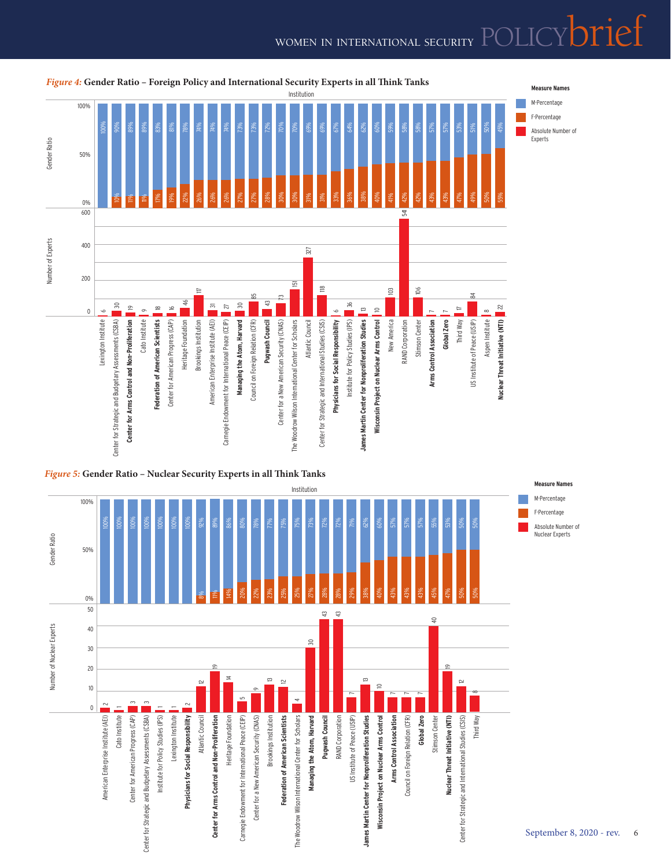## WOMEN IN INTERNATIONAL SECURITY  $\mathsf{POLICY}$



## *Figure 4:* **Gender Ratio – Foreign Policy and International Security Experts in all Think Tanks**



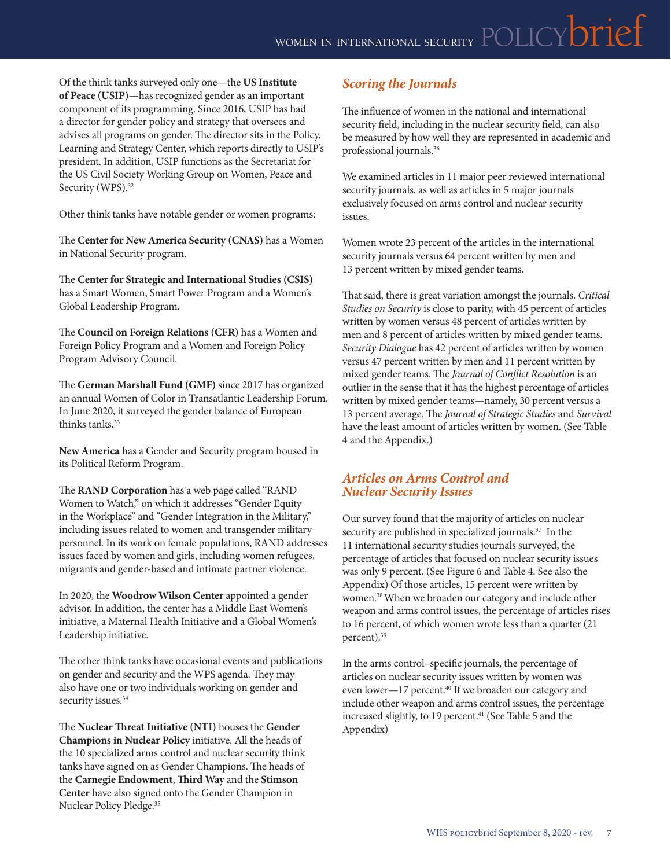Of the think tanks surveyed only one—the **US Institute of Peace (USIP)**—has recognized gender as an important component of its programming. Since 2016, USIP has had a director for gender policy and strategy that oversees and advises all programs on gender. The director sits in the Policy, Learning and Strategy Center, which reports directly to USIP's president. In addition, USIP functions as the Secretariat for the US Civil Society Working Group on Women, Peace and Security (WPS).<sup>32</sup>

Other think tanks have notable gender or women programs:

The **Center for New America Security (CNAS)** has a Women in National Security program.

The **Center for Strategic and International Studies (CSIS)** has a Smart Women, Smart Power Program and a Women's Global Leadership Program.

The **Council on Foreign Relations (CFR)** has a Women and Foreign Policy Program and a Women and Foreign Policy Program Advisory Council.

The **German Marshall Fund (GMF)** since 2017 has organized an annual Women of Color in Transatlantic Leadership Forum. In June 2020, it surveyed the gender balance of European thinks tanks.<sup>33</sup>

**New America** has a Gender and Security program housed in its Political Reform Program.

The **RAND Corporation** has a web page called "RAND Women to Watch," on which it addresses "Gender Equity in the Workplace" and "Gender Integration in the Military," including issues related to women and transgender military personnel. In its work on female populations, RAND addresses issues faced by women and girls, including women refugees, migrants and gender-based and intimate partner violence.

In 2020, the **Woodrow Wilson Center** appointed a gender advisor. In addition, the center has a Middle East Women's initiative, a Maternal Health Initiative and a Global Women's Leadership initiative.

The other think tanks have occasional events and publications on gender and security and the WPS agenda. They may also have one or two individuals working on gender and security issues.<sup>34</sup>

The **Nuclear Threat Initiative (NTI)** houses the **Gender Champions in Nuclear Policy** initiative. All the heads of the 10 specialized arms control and nuclear security think tanks have signed on as Gender Champions. The heads of the **Carnegie Endowment**, **Third Way** and the **Stimson Center** have also signed onto the Gender Champion in Nuclear Policy Pledge.35

## *Scoring the Journals*

The influence of women in the national and international security field, including in the nuclear security field, can also be measured by how well they are represented in academic and professional journals.36

We examined articles in 11 major peer reviewed international security journals, as well as articles in 5 major journals exclusively focused on arms control and nuclear security issues.

Women wrote 23 percent of the articles in the international security journals versus 64 percent written by men and 13 percent written by mixed gender teams.

That said, there is great variation amongst the journals. *Critical Studies on Security* is close to parity, with 45 percent of articles written by women versus 48 percent of articles written by men and 8 percent of articles written by mixed gender teams. *Security Dialogue* has 42 percent of articles written by women versus 47 percent written by men and 11 percent written by mixed gender teams. The *Journal of Conflict Resolution* is an outlier in the sense that it has the highest percentage of articles written by mixed gender teams—namely, 30 percent versus a 13 percent average. The *Journal of Strategic Studies* and *Survival*  have the least amount of articles written by women. (See Table 4 and the Appendix.)

### *Articles on Arms Control and Nuclear Security Issues*

Our survey found that the majority of articles on nuclear security are published in specialized journals.<sup>37</sup> In the 11 international security studies journals surveyed, the percentage of articles that focused on nuclear security issues was only 9 percent. (See Figure 6 and Table 4. See also the Appendix) Of those articles, 15 percent were written by women.38 When we broaden our category and include other weapon and arms control issues, the percentage of articles rises to 16 percent, of which women wrote less than a quarter (21 percent).39

In the arms control–specific journals, the percentage of articles on nuclear security issues written by women was even lower—17 percent.<sup>40</sup> If we broaden our category and include other weapon and arms control issues, the percentage increased slightly, to 19 percent.<sup>41</sup> (See Table 5 and the Appendix)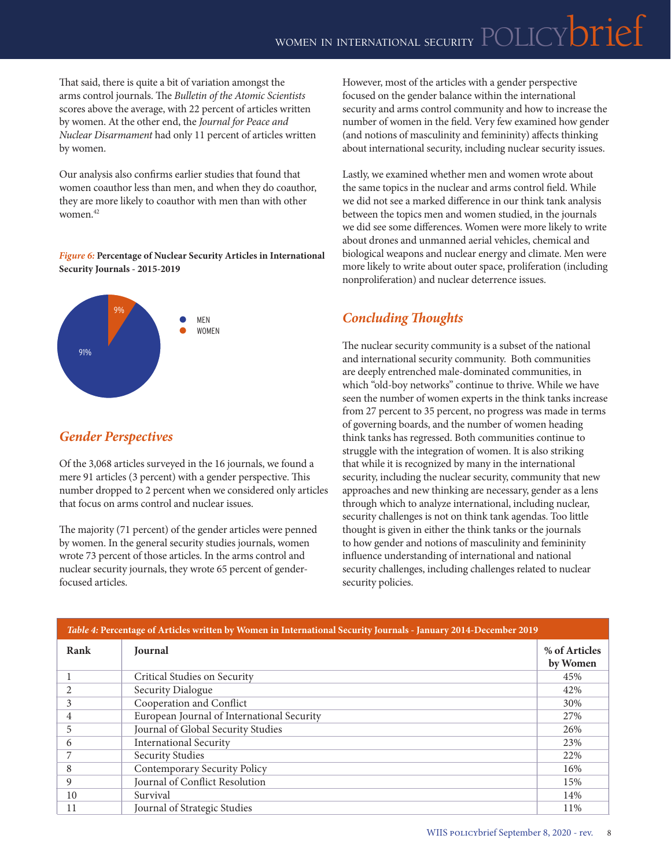That said, there is quite a bit of variation amongst the arms control journals. The *Bulletin of the Atomic Scientists* scores above the average, with 22 percent of articles written by women. At the other end, the *Journal for Peace and Nuclear Disarmament* had only 11 percent of articles written by women.

Our analysis also confirms earlier studies that found that women coauthor less than men, and when they do coauthor, they are more likely to coauthor with men than with other women.42

#### *Figure 6:* **Percentage of Nuclear Security Articles in International Security Journals - 2015-2019**



## *Gender Perspectives*

Of the 3,068 articles surveyed in the 16 journals, we found a mere 91 articles (3 percent) with a gender perspective. This number dropped to 2 percent when we considered only articles that focus on arms control and nuclear issues.

The majority (71 percent) of the gender articles were penned by women. In the general security studies journals, women wrote 73 percent of those articles. In the arms control and nuclear security journals, they wrote 65 percent of genderfocused articles.

However, most of the articles with a gender perspective focused on the gender balance within the international security and arms control community and how to increase the number of women in the field. Very few examined how gender (and notions of masculinity and femininity) affects thinking about international security, including nuclear security issues.

Lastly, we examined whether men and women wrote about the same topics in the nuclear and arms control field. While we did not see a marked difference in our think tank analysis between the topics men and women studied, in the journals we did see some differences. Women were more likely to write about drones and unmanned aerial vehicles, chemical and biological weapons and nuclear energy and climate. Men were more likely to write about outer space, proliferation (including nonproliferation) and nuclear deterrence issues.

## *Concluding Thoughts*

The nuclear security community is a subset of the national and international security community. Both communities are deeply entrenched male-dominated communities, in which "old-boy networks" continue to thrive. While we have seen the number of women experts in the think tanks increase from 27 percent to 35 percent, no progress was made in terms of governing boards, and the number of women heading think tanks has regressed. Both communities continue to struggle with the integration of women. It is also striking that while it is recognized by many in the international security, including the nuclear security, community that new approaches and new thinking are necessary, gender as a lens through which to analyze international, including nuclear, security challenges is not on think tank agendas. Too little thought is given in either the think tanks or the journals to how gender and notions of masculinity and femininity influence understanding of international and national security challenges, including challenges related to nuclear security policies.

| Table 4: Percentage of Articles written by Women in International Security Journals - January 2014-December 2019 |                                            |                           |  |  |  |
|------------------------------------------------------------------------------------------------------------------|--------------------------------------------|---------------------------|--|--|--|
| Rank                                                                                                             | Journal                                    | % of Articles<br>by Women |  |  |  |
|                                                                                                                  | Critical Studies on Security               | 45%                       |  |  |  |
|                                                                                                                  | Security Dialogue                          | 42%                       |  |  |  |
| 3                                                                                                                | Cooperation and Conflict                   | 30%                       |  |  |  |
| 4                                                                                                                | European Journal of International Security | 27%                       |  |  |  |
| 5                                                                                                                | Journal of Global Security Studies         | 26%                       |  |  |  |
| 6                                                                                                                | <b>International Security</b>              | 23%                       |  |  |  |
|                                                                                                                  | <b>Security Studies</b>                    | 22%                       |  |  |  |
| 8                                                                                                                | Contemporary Security Policy               | 16%                       |  |  |  |
| 9                                                                                                                | Journal of Conflict Resolution             | 15%                       |  |  |  |
| 10                                                                                                               | Survival                                   | 14%                       |  |  |  |
| 11                                                                                                               | Journal of Strategic Studies               | 11%                       |  |  |  |

### *Table 4:* **Percentage of Articles written by Women in International Security Journals - January 2014-December 2019**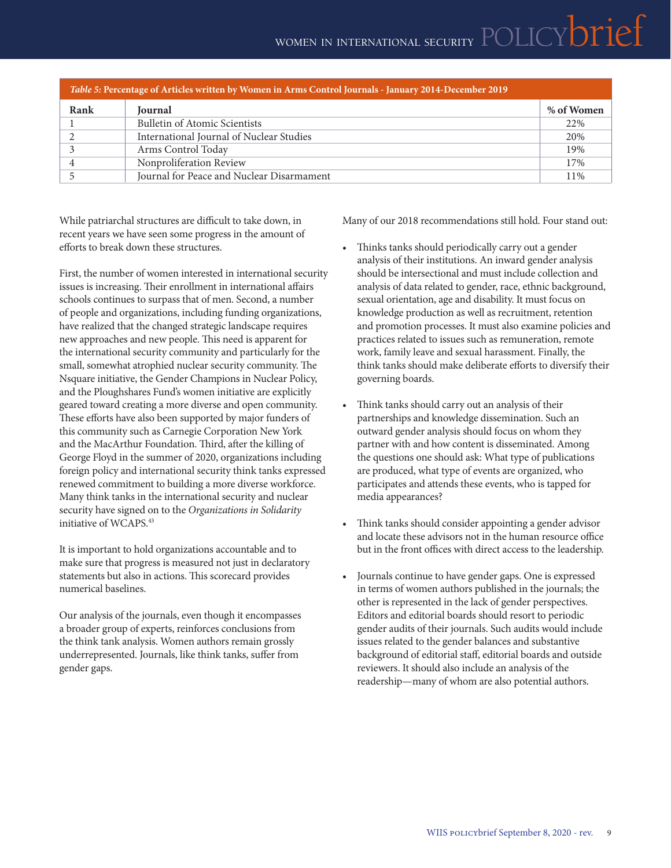| Table 5: Percentage of Articles written by Women in Arms Control Journals - January 2014-December 2019 |            |  |  |  |  |  |
|--------------------------------------------------------------------------------------------------------|------------|--|--|--|--|--|
| <b>Journal</b>                                                                                         | % of Women |  |  |  |  |  |
| <b>Bulletin of Atomic Scientists</b>                                                                   | 22%        |  |  |  |  |  |
| International Journal of Nuclear Studies                                                               | 20%        |  |  |  |  |  |
| Arms Control Today                                                                                     | 19%        |  |  |  |  |  |
| Nonproliferation Review                                                                                | 17%        |  |  |  |  |  |
| Journal for Peace and Nuclear Disarmament                                                              | 11%        |  |  |  |  |  |
|                                                                                                        |            |  |  |  |  |  |

While patriarchal structures are difficult to take down, in recent years we have seen some progress in the amount of efforts to break down these structures.

First, the number of women interested in international security issues is increasing. Their enrollment in international affairs schools continues to surpass that of men. Second, a number of people and organizations, including funding organizations, have realized that the changed strategic landscape requires new approaches and new people. This need is apparent for the international security community and particularly for the small, somewhat atrophied nuclear security community. The Nsquare initiative, the Gender Champions in Nuclear Policy, and the Ploughshares Fund's women initiative are explicitly geared toward creating a more diverse and open community. These efforts have also been supported by major funders of this community such as Carnegie Corporation New York and the MacArthur Foundation. Third, after the killing of George Floyd in the summer of 2020, organizations including foreign policy and international security think tanks expressed renewed commitment to building a more diverse workforce. Many think tanks in the international security and nuclear security have signed on to the *Organizations in Solidarity* initiative of WCAPS.43

It is important to hold organizations accountable and to make sure that progress is measured not just in declaratory statements but also in actions. This scorecard provides numerical baselines.

Our analysis of the journals, even though it encompasses a broader group of experts, reinforces conclusions from the think tank analysis. Women authors remain grossly underrepresented. Journals, like think tanks, suffer from gender gaps.

Many of our 2018 recommendations still hold. Four stand out:

- Thinks tanks should periodically carry out a gender analysis of their institutions. An inward gender analysis should be intersectional and must include collection and analysis of data related to gender, race, ethnic background, sexual orientation, age and disability. It must focus on knowledge production as well as recruitment, retention and promotion processes. It must also examine policies and practices related to issues such as remuneration, remote work, family leave and sexual harassment. Finally, the think tanks should make deliberate efforts to diversify their governing boards.
- Think tanks should carry out an analysis of their partnerships and knowledge dissemination. Such an outward gender analysis should focus on whom they partner with and how content is disseminated. Among the questions one should ask: What type of publications are produced, what type of events are organized, who participates and attends these events, who is tapped for media appearances?
- Think tanks should consider appointing a gender advisor and locate these advisors not in the human resource office but in the front offices with direct access to the leadership.
- Journals continue to have gender gaps. One is expressed in terms of women authors published in the journals; the other is represented in the lack of gender perspectives. Editors and editorial boards should resort to periodic gender audits of their journals. Such audits would include issues related to the gender balances and substantive background of editorial staff, editorial boards and outside reviewers. It should also include an analysis of the readership—many of whom are also potential authors.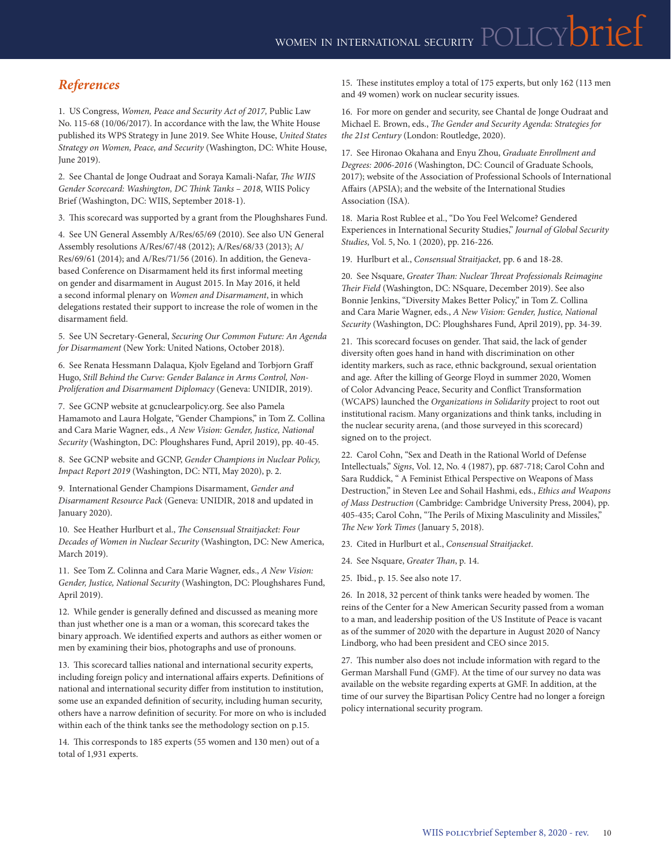## *References*

1. US Congress, *Women, Peace and Security Act of 2017,* Public Law No. 115-68 (10/06/2017). In accordance with the law, the White House published its WPS Strategy in June 2019. See White House, *United States Strategy on Women, Peace, and Security* (Washington, DC: White House, June 2019).

2. See Chantal de Jonge Oudraat and Soraya Kamali-Nafar, *The WIIS Gender Scorecard: Washington, DC Think Tanks – 2018*, WIIS Policy Brief (Washington, DC: WIIS, September 2018-1).

3. This scorecard was supported by a grant from the Ploughshares Fund.

4. See UN General Assembly A/Res/65/69 (2010). See also UN General Assembly resolutions A/Res/67/48 (2012); A/Res/68/33 (2013); A/ Res/69/61 (2014); and A/Res/71/56 (2016). In addition, the Genevabased Conference on Disarmament held its first informal meeting on gender and disarmament in August 2015. In May 2016, it held a second informal plenary on *Women and Disarmament*, in which delegations restated their support to increase the role of women in the disarmament field.

5. See UN Secretary-General, *Securing Our Common Future: An Agenda for Disarmament* (New York: United Nations, October 2018).

6. See Renata Hessmann Dalaqua, Kjolv Egeland and Torbjorn Graff Hugo, *Still Behind the Curve: Gender Balance in Arms Control, Non-Proliferation and Disarmament Diplomacy* (Geneva: UNIDIR, 2019).

7. See GCNP website at gcnuclearpolicy.org. See also Pamela Hamamoto and Laura Holgate, "Gender Champions," in Tom Z. Collina and Cara Marie Wagner, eds., *A New Vision: Gender, Justice, National Security* (Washington, DC: Ploughshares Fund, April 2019), pp. 40-45.

8. See GCNP website and GCNP, *Gender Champions in Nuclear Policy, Impact Report 2019* (Washington, DC: NTI, May 2020), p. 2.

9. International Gender Champions Disarmament, *Gender and Disarmament Resource Pack* (Geneva: UNIDIR, 2018 and updated in January 2020).

10. See Heather Hurlburt et al., *The Consensual Straitjacket: Four Decades of Women in Nuclear Security* (Washington, DC: New America, March 2019).

11. See Tom Z. Colinna and Cara Marie Wagner, eds., *A New Vision: Gender, Justice, National Security* (Washington, DC: Ploughshares Fund, April 2019).

12. While gender is generally defined and discussed as meaning more than just whether one is a man or a woman, this scorecard takes the binary approach. We identified experts and authors as either women or men by examining their bios, photographs and use of pronouns.

13. This scorecard tallies national and international security experts, including foreign policy and international affairs experts. Definitions of national and international security differ from institution to institution, some use an expanded definition of security, including human security, others have a narrow definition of security. For more on who is included within each of the think tanks see the methodology section on p.15.

14. This corresponds to 185 experts (55 women and 130 men) out of a total of 1,931 experts.

15. These institutes employ a total of 175 experts, but only 162 (113 men and 49 women) work on nuclear security issues.

16. For more on gender and security, see Chantal de Jonge Oudraat and Michael E. Brown, eds., *The Gender and Security Agenda: Strategies for the 21st Century* (London: Routledge, 2020).

17. See Hironao Okahana and Enyu Zhou, *Graduate Enrollment and Degrees: 2006-2016* (Washington, DC: Council of Graduate Schools, 2017); website of the Association of Professional Schools of International Affairs (APSIA); and the website of the International Studies Association (ISA).

18. Maria Rost Rublee et al., "Do You Feel Welcome? Gendered Experiences in International Security Studies," *Journal of Global Security Studies*, Vol. 5, No. 1 (2020), pp. 216-226.

19. Hurlburt et al., *Consensual Straitjacket,* pp. 6 and 18-28.

20. See Nsquare, *Greater Than: Nuclear Threat Professionals Reimagine Their Field* (Washington, DC: NSquare, December 2019). See also Bonnie Jenkins, "Diversity Makes Better Policy," in Tom Z. Collina and Cara Marie Wagner, eds., *A New Vision: Gender, Justice, National Security* (Washington, DC: Ploughshares Fund, April 2019), pp. 34-39.

21. This scorecard focuses on gender. That said, the lack of gender diversity often goes hand in hand with discrimination on other identity markers, such as race, ethnic background, sexual orientation and age. After the killing of George Floyd in summer 2020, Women of Color Advancing Peace, Security and Conflict Transformation (WCAPS) launched the *Organizations in Solidarity* project to root out institutional racism. Many organizations and think tanks, including in the nuclear security arena, (and those surveyed in this scorecard) signed on to the project.

22. Carol Cohn, "Sex and Death in the Rational World of Defense Intellectuals," *Signs*, Vol. 12, No. 4 (1987), pp. 687-718; Carol Cohn and Sara Ruddick, " A Feminist Ethical Perspective on Weapons of Mass Destruction," in Steven Lee and Sohail Hashmi, eds., *Ethics and Weapons of Mass Destruction* (Cambridge: Cambridge University Press, 2004), pp. 405-435; Carol Cohn, "The Perils of Mixing Masculinity and Missiles," *The New York Times* (January 5, 2018).

23. Cited in Hurlburt et al., *Consensual Straitjacket*.

- 24. See Nsquare, *Greater Than*, p. 14.
- 25. Ibid., p. 15. See also note 17.

26. In 2018, 32 percent of think tanks were headed by women. The reins of the Center for a New American Security passed from a woman to a man, and leadership position of the US Institute of Peace is vacant as of the summer of 2020 with the departure in August 2020 of Nancy Lindborg, who had been president and CEO since 2015.

27. This number also does not include information with regard to the German Marshall Fund (GMF). At the time of our survey no data was available on the website regarding experts at GMF. In addition, at the time of our survey the Bipartisan Policy Centre had no longer a foreign policy international security program.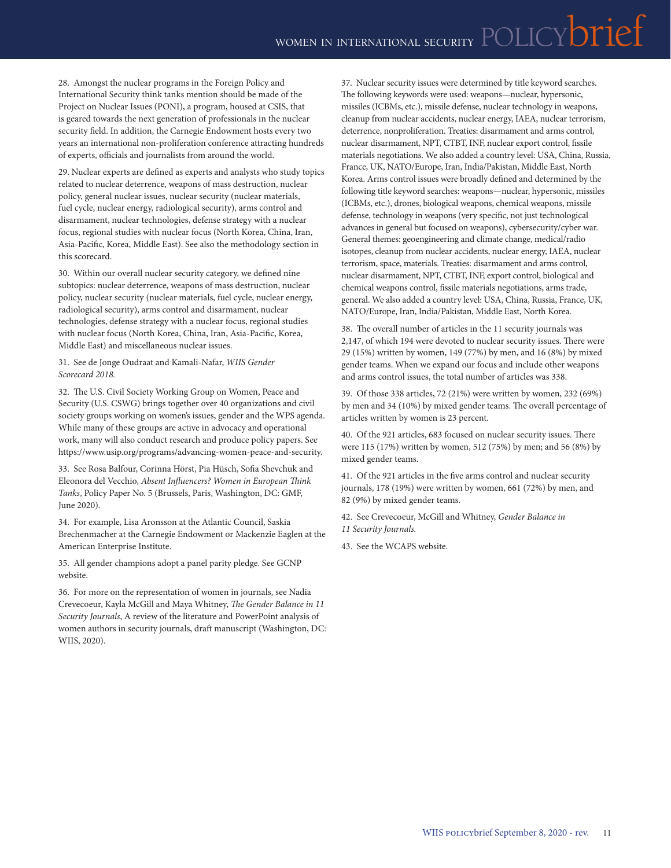28. Amongst the nuclear programs in the Foreign Policy and International Security think tanks mention should be made of the Project on Nuclear Issues (PONI), a program, housed at CSIS, that is geared towards the next generation of professionals in the nuclear security field. In addition, the Carnegie Endowment hosts every two years an international non-proliferation conference attracting hundreds of experts, officials and journalists from around the world.

29. Nuclear experts are defined as experts and analysts who study topics related to nuclear deterrence, weapons of mass destruction, nuclear policy, general nuclear issues, nuclear security (nuclear materials, fuel cycle, nuclear energy, radiological security), arms control and disarmament, nuclear technologies, defense strategy with a nuclear focus, regional studies with nuclear focus (North Korea, China, Iran, Asia-Pacific, Korea, Middle East). See also the methodology section in this scorecard.

30. Within our overall nuclear security category, we defined nine subtopics: nuclear deterrence, weapons of mass destruction, nuclear policy, nuclear security (nuclear materials, fuel cycle, nuclear energy, radiological security), arms control and disarmament, nuclear technologies, defense strategy with a nuclear focus, regional studies with nuclear focus (North Korea, China, Iran, Asia-Pacific, Korea, Middle East) and miscellaneous nuclear issues.

31. See de Jonge Oudraat and Kamali-Nafar, *WIIS Gender Scorecard 2018.*

32. The U.S. Civil Society Working Group on Women, Peace and Security (U.S. CSWG) brings together over 40 organizations and civil society groups working on women's issues, gender and the WPS agenda. While many of these groups are active in advocacy and operational work, many will also conduct research and produce policy papers. See <https://www.usip.org/programs/advancing-women-peace-and-security>.

33. See Rosa Balfour, Corinna Hörst, Pia Hüsch, Sofia Shevchuk and Eleonora del Vecchio, *Absent Influencers? Women in European Think Tanks*, Policy Paper No. 5 (Brussels, Paris, Washington, DC: GMF, June 2020).

34. For example, Lisa Aronsson at the Atlantic Council, Saskia Brechenmacher at the Carnegie Endowment or Mackenzie Eaglen at the American Enterprise Institute.

35. All gender champions adopt a panel parity pledge. See GCNP website.

36. For more on the representation of women in journals, see Nadia Crevecoeur, Kayla McGill and Maya Whitney, *The Gender Balance in 11 Security Journals*, A review of the literature and PowerPoint analysis of women authors in security journals, draft manuscript (Washington, DC: WIIS, 2020).

37. Nuclear security issues were determined by title keyword searches. The following keywords were used: weapons—nuclear, hypersonic, missiles (ICBMs, etc.), missile defense, nuclear technology in weapons, cleanup from nuclear accidents, nuclear energy, IAEA, nuclear terrorism, deterrence, nonproliferation. Treaties: disarmament and arms control, nuclear disarmament, NPT, CTBT, INF, nuclear export control, fissile materials negotiations. We also added a country level: USA, China, Russia, France, UK, NATO/Europe, Iran, India/Pakistan, Middle East, North Korea. Arms control issues were broadly defined and determined by the following title keyword searches: weapons—nuclear, hypersonic, missiles (ICBMs, etc.), drones, biological weapons, chemical weapons, missile defense, technology in weapons (very specific, not just technological advances in general but focused on weapons), cybersecurity/cyber war. General themes: geoengineering and climate change, medical/radio isotopes, cleanup from nuclear accidents, nuclear energy, IAEA, nuclear terrorism, space, materials. Treaties: disarmament and arms control, nuclear disarmament, NPT, CTBT, INF, export control, biological and chemical weapons control, fissile materials negotiations, arms trade, general. We also added a country level: USA, China, Russia, France, UK, NATO/Europe, Iran, India/Pakistan, Middle East, North Korea.

38. The overall number of articles in the 11 security journals was 2,147, of which 194 were devoted to nuclear security issues. There were 29 (15%) written by women, 149 (77%) by men, and 16 (8%) by mixed gender teams. When we expand our focus and include other weapons and arms control issues, the total number of articles was 338.

39. Of those 338 articles, 72 (21%) were written by women, 232 (69%) by men and 34 (10%) by mixed gender teams. The overall percentage of articles written by women is 23 percent.

40. Of the 921 articles, 683 focused on nuclear security issues. There were 115 (17%) written by women, 512 (75%) by men; and 56 (8%) by mixed gender teams.

41. Of the 921 articles in the five arms control and nuclear security journals, 178 (19%) were written by women, 661 (72%) by men, and 82 (9%) by mixed gender teams.

42. See Crevecoeur, McGill and Whitney, *Gender Balance in 11 Security Journals.*

43. See the WCAPS website.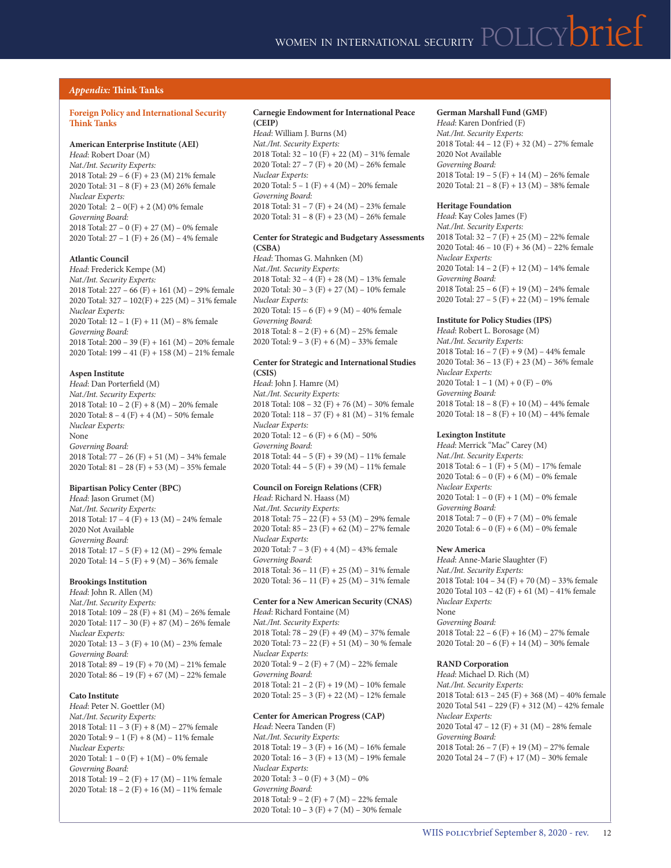#### *Appendix:* **Think Tanks**

#### **Foreign Policy and International Security Think Tanks**

#### **American Enterprise Institute (AEI)**

*Head*: Robert Doar (M) *Nat./Int. Security Experts:*  2018 Total: 29 – 6 (F) + 23 (M) 21% female 2020 Total: 31 – 8 (F) + 23 (M) 26% female *Nuclear Experts:* 2020 Total: 2 – 0(F) + 2 (M) 0% female *Governing Board:* 2018 Total: 27 – 0 (F) + 27 (M) – 0% female 2020 Total: 27 – 1 (F) + 26 (M) – 4% female

#### **Atlantic Council**

*Head*: Frederick Kempe (M) *Nat./Int. Security Experts:*  2018 Total: 227 – 66 (F) + 161 (M) – 29% female 2020 Total: 327 – 102(F) + 225 (M) – 31% female *Nuclear Experts:* 2020 Total: 12 – 1 (F) + 11 (M) – 8% female *Governing Board:*  2018 Total: 200 – 39 (F) + 161 (M) – 20% female 2020 Total: 199 – 41 (F) + 158 (M) – 21% female

#### **Aspen Institute**

*Head*: Dan Porterfield (M) *Nat./Int. Security Experts:*  2018 Total: 10 – 2 (F) + 8 (M) – 20% female 2020 Total: 8 – 4 (F) + 4 (M) – 50% female *Nuclear Experts:* None *Governing Board:*  2018 Total: 77 – 26 (F) + 51 (M) – 34% female 2020 Total: 81 – 28 (F) + 53 (M) – 35% female

#### **Bipartisan Policy Center (BPC)**

*Head*: Jason Grumet (M) *Nat./Int. Security Experts:*  2018 Total: 17 – 4 (F) + 13 (M) – 24% female 2020 Not Available *Governing Board:*  2018 Total: 17 – 5 (F) + 12 (M) – 29% female 2020 Total: 14 – 5 (F) + 9 (M) – 36% female

#### **Brookings Institution**

*Head*: John R. Allen (M) *Nat./Int. Security Experts:*  2018 Total: 109 – 28 (F) + 81 (M) – 26% female 2020 Total: 117 – 30 (F) + 87 (M) – 26% female *Nuclear Experts:* 2020 Total: 13 – 3 (F) + 10 (M) – 23% female *Governing Board:*  2018 Total: 89 – 19 (F) + 70 (M) – 21% female 2020 Total: 86 – 19 (F) + 67 (M) – 22% female

#### **Cato Institute**

*Head*: Peter N. Goettler (M) *Nat./Int. Security Experts:*  2018 Total: 11 – 3 (F) + 8 (M) – 27% female 2020 Total: 9 – 1 (F) + 8 (M) – 11% female *Nuclear Experts:* 2020 Total: 1 – 0 (F) + 1(M) – 0% female *Governing Board:*  2018 Total: 19 – 2 (F) + 17 (M) – 11% female 2020 Total: 18 – 2 (F) + 16 (M) – 11% female

#### **Carnegie Endowment for International Peace (CEIP)**

*Head*: William J. Burns (M) *Nat./Int. Security Experts:*  2018 Total: 32 – 10 (F) + 22 (M) – 31% female 2020 Total: 27 – 7 (F) + 20 (M) – 26% female *Nuclear Experts:* 2020 Total: 5 – 1 (F) + 4 (M) – 20% female *Governing Board:*  2018 Total: 31 – 7 (F) + 24 (M) – 23% female 2020 Total: 31 – 8 (F) + 23 (M) – 26% female

#### **Center for Strategic and Budgetary Assessments (CSBA)**

*Head*: Thomas G. Mahnken (M) *Nat./Int. Security Experts:*  2018 Total: 32 – 4 (F) + 28 (M) – 13% female 2020 Total: 30 – 3 (F) + 27 (M) – 10% female *Nuclear Experts:* 2020 Total: 15 – 6 (F) + 9 (M) – 40% female *Governing Board:*  2018 Total: 8 – 2 (F) + 6 (M) – 25% female 2020 Total:  $9 - 3(F) + 6(M) - 33%$  female

#### **Center for Strategic and International Studies (CSIS)**

*Head*: John J. Hamre (M) *Nat./Int. Security Experts:*  2018 Total: 108 – 32 (F) + 76 (M) – 30% female 2020 Total: 118 – 37 (F) + 81 (M) – 31% female *Nuclear Experts:* 2020 Total:  $12 - 6$  (F) + 6 (M) - 50% *Governing Board:*  2018 Total: 44 – 5 (F) + 39 (M) – 11% female 2020 Total: 44 – 5 (F) + 39 (M) – 11% female

#### **Council on Foreign Relations (CFR)**  *Head*: Richard N. Haass (M)

*Nat./Int. Security Experts:*  2018 Total: 75 – 22 (F) + 53 (M) – 29% female 2020 Total: 85 – 23 (F) + 62 (M) – 27% female *Nuclear Experts:* 2020 Total: 7 – 3 (F) + 4 (M) – 43% female *Governing Board:*  2018 Total: 36 – 11 (F) + 25 (M) – 31% female 2020 Total: 36 – 11 (F) + 25 (M) – 31% female

#### **Center for a New American Security (CNAS)**  *Head*: Richard Fontaine (M)

*Nat./Int. Security Experts:*  2018 Total: 78 – 29 (F) + 49 (M) – 37% female 2020 Total: 73 – 22 (F) + 51 (M) – 30 % female *Nuclear Experts:* 2020 Total: 9 – 2 (F) + 7 (M) – 22% female *Governing Board:*  2018 Total: 21 – 2 (F) + 19 (M) – 10% female 2020 Total: 25 – 3 (F) + 22 (M) – 12% female

#### **Center for American Progress (CAP)**

*Head*: Neera Tanden (F) *Nat./Int. Security Experts:*  2018 Total: 19 – 3 (F) + 16 (M) – 16% female 2020 Total: 16 – 3 (F) + 13 (M) – 19% female *Nuclear Experts:* 2020 Total: 3 – 0 (F) + 3 (M) – 0% *Governing Board:*  2018 Total: 9 – 2 (F) + 7 (M) – 22% female 2020 Total: 10 – 3 (F) + 7 (M) – 30% female

#### **German Marshall Fund (GMF)**

*Head*: Karen Donfried (F) *Nat./Int. Security Experts:*  2018 Total: 44 – 12 (F) + 32 (M) – 27% female 2020 Not Available *Governing Board:*  2018 Total: 19 – 5 (F) + 14 (M) – 26% female 2020 Total: 21 – 8 (F) + 13 (M) – 38% female

#### **Heritage Foundation**

*Head*: Kay Coles James (F) *Nat./Int. Security Experts:*  2018 Total: 32 – 7 (F) + 25 (M) – 22% female 2020 Total: 46 – 10 (F) + 36 (M) – 22% female *Nuclear Experts:* 2020 Total: 14 – 2 (F) + 12 (M) – 14% female *Governing Board:*  2018 Total: 25 – 6 (F) + 19 (M) – 24% female 2020 Total: 27 – 5 (F) + 22 (M) – 19% female

#### **Institute for Policy Studies (IPS)**

*Head*: Robert L. Borosage (M) *Nat./Int. Security Experts:*  2018 Total: 16 – 7 (F) + 9 (M) – 44% female 2020 Total: 36 – 13 (F) + 23 (M) – 36% female *Nuclear Experts:* 2020 Total:  $1 - 1$  (M) + 0 (F) – 0% *Governing Board:*  2018 Total: 18 – 8 (F) + 10 (M) – 44% female 2020 Total: 18 – 8 (F) + 10 (M) – 44% female

#### **Lexington Institute**

*Head*: Merrick "Mac" Carey (M) *Nat./Int. Security Experts:*  2018 Total: 6 – 1 (F) + 5 (M) – 17% female 2020 Total: 6 – 0 (F) + 6 (M) – 0% female *Nuclear Experts:* 2020 Total: 1 – 0 (F) + 1 (M) – 0% female *Governing Board:*  2018 Total: 7 – 0 (F) + 7 (M) – 0% female 2020 Total: 6 – 0 (F) + 6 (M) – 0% female

#### **New America**

*Head*: Anne-Marie Slaughter (F) *Nat./Int. Security Experts:*  2018 Total: 104 – 34 (F) + 70 (M) – 33% female 2020 Total 103 – 42 (F) + 61 (M) – 41% female *Nuclear Experts:* None *Governing Board:*  2018 Total: 22 – 6 (F) + 16 (M) – 27% female 2020 Total: 20 – 6 (F) + 14 (M) – 30% female

#### **RAND Corporation**

*Head*: Michael D. Rich (M) *Nat./Int. Security Experts:*  2018 Total: 613 – 245 (F) + 368 (M) – 40% female 2020 Total 541 – 229 (F) + 312 (M) – 42% female *Nuclear Experts:* 2020 Total 47 – 12 (F) + 31 (M) – 28% female *Governing Board:*  2018 Total: 26 – 7 (F) + 19 (M) – 27% female 2020 Total 24 – 7 (F) + 17 (M) – 30% female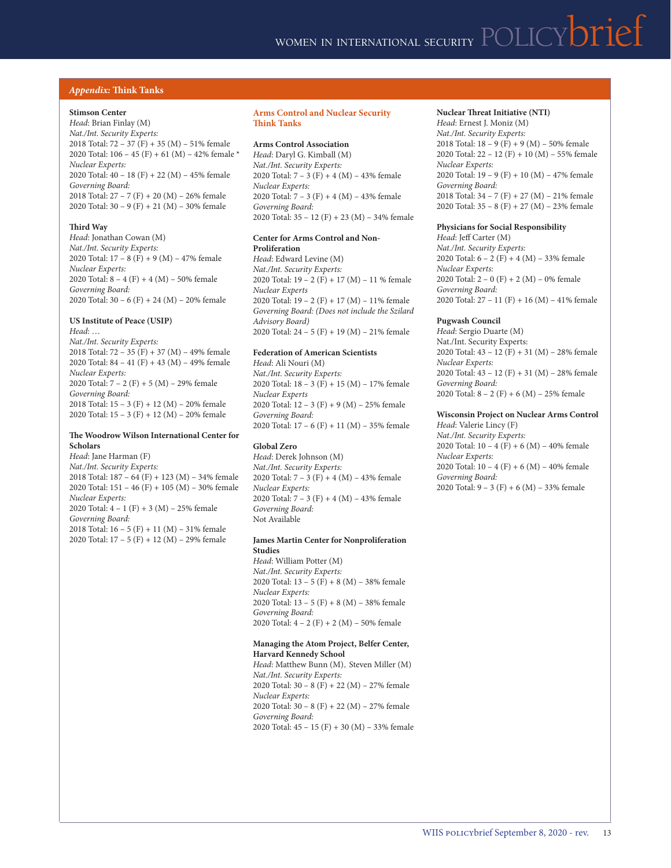#### *Appendix:* **Think Tanks**

#### **Stimson Center**

*Head*: Brian Finlay (M) *Nat./Int. Security Experts:*  2018 Total: 72 – 37 (F) + 35 (M) – 51% female 2020 Total:  $106 - 45$  (F) + 61 (M) - 42% female \* *Nuclear Experts:* 2020 Total: 40 – 18 (F) + 22 (M) – 45% female *Governing Board:*  2018 Total: 27 – 7 (F) + 20 (M) – 26% female 2020 Total: 30 – 9 (F) + 21 (M) – 30% female

#### **Third Way**

*Head*: Jonathan Cowan (M) *Nat./Int. Security Experts:*  2020 Total: 17 – 8 (F) + 9 (M) – 47% female *Nuclear Experts:* 2020 Total:  $8 - 4(F) + 4(M) - 50\%$  female *Governing Board:*  2020 Total: 30 – 6 (F) + 24 (M) – 20% female

#### **US Institute of Peace (USIP)**

*Head*: … *Nat./Int. Security Experts:*  2018 Total: 72 – 35 (F) + 37 (M) – 49% female 2020 Total: 84 – 41 (F) + 43 (M) – 49% female *Nuclear Experts:* 2020 Total: 7 – 2 (F) + 5 (M) – 29% female *Governing Board:*  2018 Total: 15 – 3 (F) + 12 (M) – 20% female 2020 Total: 15 – 3 (F) + 12 (M) – 20% female

#### **The Woodrow Wilson International Center for Scholars**

*Head*: Jane Harman (F) *Nat./Int. Security Experts:*  2018 Total: 187 – 64 (F) + 123 (M) – 34% female 2020 Total: 151 – 46 (F) + 105 (M) – 30% female *Nuclear Experts:* 2020 Total: 4 – 1 (F) + 3 (M) – 25% female *Governing Board:*  2018 Total: 16 – 5 (F) + 11 (M) – 31% female 2020 Total: 17 – 5 (F) + 12 (M) – 29% female

#### **Arms Control and Nuclear Security Think Tanks**

#### **Arms Control Association**

*Head*: Daryl G. Kimball (M) *Nat./Int. Security Experts:*  2020 Total: 7 – 3 (F) + 4 (M) – 43% female *Nuclear Experts:* 2020 Total: 7 – 3 (F) + 4 (M) – 43% female *Governing Board:*  2020 Total: 35 – 12 (F) + 23 (M) – 34% female

#### **Center for Arms Control and Non-Proliferation**

*Head*: Edward Levine (M) *Nat./Int. Security Experts:*  2020 Total: 19 – 2 (F) + 17 (M) – 11 % female *Nuclear Experts* 2020 Total: 19 – 2 (F) + 17 (M) – 11% female *Governing Board: (Does not include the Szilard Advisory Board)* 2020 Total: 24 – 5 (F) + 19 (M) – 21% female

#### **Federation of American Scientists**

*Head*: Ali Nouri (M) *Nat./Int. Security Experts:*  2020 Total: 18 – 3 (F) + 15 (M) – 17% female *Nuclear Experts* 2020 Total: 12 – 3 (F) + 9 (M) – 25% female *Governing Board:*  2020 Total: 17 – 6 (F) + 11 (M) – 35% female

#### **Global Zero**

*Head*: Derek Johnson (M) *Nat./Int. Security Experts:*  2020 Total: 7 – 3 (F) + 4 (M) – 43% female *Nuclear Experts:* 2020 Total: 7 – 3 (F) + 4 (M) – 43% female *Governing Board:* Not Available

#### **James Martin Center for Nonproliferation Studies**

*Head*: William Potter (M) *Nat./Int. Security Experts:*  2020 Total: 13 – 5 (F) + 8 (M) – 38% female *Nuclear Experts:* 2020 Total: 13 – 5 (F) + 8 (M) – 38% female *Governing Board:*  2020 Total: 4 – 2 (F) + 2 (M) – 50% female

#### **Managing the Atom Project, Belfer Center, Harvard Kennedy School**

*Head*: Matthew Bunn (M), Steven Miller (M) *Nat./Int. Security Experts:*  2020 Total: 30 – 8 (F) + 22 (M) – 27% female *Nuclear Experts:* 2020 Total: 30 – 8 (F) + 22 (M) – 27% female *Governing Board:*  2020 Total: 45 – 15 (F) + 30 (M) – 33% female

#### **Nuclear Threat Initiative (NTI)**  *Head*: Ernest J. Moniz (M)

*Nat./Int. Security Experts:*  2018 Total: 18 – 9 (F) + 9 (M) – 50% female 2020 Total: 22 – 12 (F) + 10 (M) – 55% female *Nuclear Experts:* 2020 Total: 19 – 9 (F) + 10 (M) – 47% female *Governing Board:*  2018 Total: 34 – 7 (F) + 27 (M) – 21% female 2020 Total: 35 – 8 (F) + 27 (M) – 23% female

#### **Physicians for Social Responsibility**

*Head*: Jeff Carter (M) *Nat./Int. Security Experts:*  2020 Total: 6 – 2 (F) + 4 (M) – 33% female *Nuclear Experts:* 2020 Total: 2 – 0 (F) + 2 (M) – 0% female *Governing Board:*  2020 Total: 27 – 11 (F) + 16 (M) – 41% female

#### **Pugwash Council**

*Head*: Sergio Duarte (M) Nat./Int. Security Experts: 2020 Total: 43 – 12 (F) + 31 (M) – 28% female *Nuclear Experts:* 2020 Total: 43 – 12 (F) + 31 (M) – 28% female *Governing Board:*  2020 Total:  $8 - 2(F) + 6(M) - 25%$  female

#### **Wisconsin Project on Nuclear Arms Control** *Head*: Valerie Lincy (F)

*Nat./Int. Security Experts:*  2020 Total:  $10 - 4(F) + 6(M) - 40\%$  female *Nuclear Experts:* 2020 Total: 10 – 4 (F) + 6 (M) – 40% female *Governing Board:*  2020 Total:  $9 - 3(F) + 6(M) - 33%$  female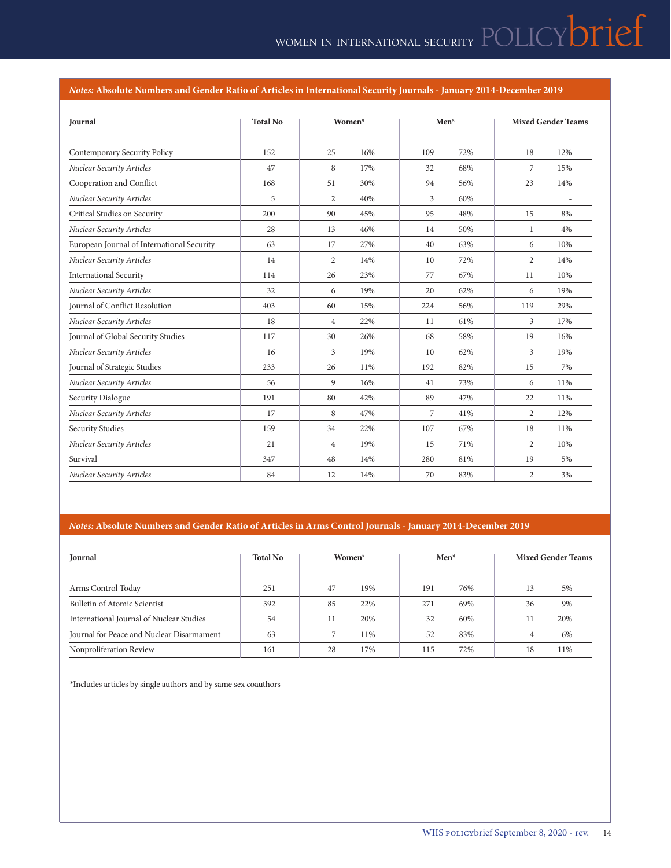#### *Notes:* **Absolute Numbers and Gender Ratio of Articles in International Security Journals - January 2014-December 2019**

| Journal                                    | <b>Total No</b> | Women*         |     | Men* |     | <b>Mixed Gender Teams</b> |                |
|--------------------------------------------|-----------------|----------------|-----|------|-----|---------------------------|----------------|
| Contemporary Security Policy               | 152             | 25             | 16% | 109  | 72% | 18                        | 12%            |
| Nuclear Security Articles                  | 47              | 8              | 17% | 32   | 68% | 7                         | 15%            |
| Cooperation and Conflict                   | 168             | 51             | 30% | 94   | 56% | 23                        | 14%            |
| Nuclear Security Articles                  | 5               | $\overline{2}$ | 40% | 3    | 60% |                           | $\overline{a}$ |
| Critical Studies on Security               | 200             | 90             | 45% | 95   | 48% | 15                        | 8%             |
| Nuclear Security Articles                  | 28              | 13             | 46% | 14   | 50% | 1                         | 4%             |
| European Journal of International Security | 63              | 17             | 27% | 40   | 63% | 6                         | 10%            |
| Nuclear Security Articles                  | 14              | $\overline{2}$ | 14% | 10   | 72% | $\overline{2}$            | 14%            |
| <b>International Security</b>              | 114             | 26             | 23% | 77   | 67% | 11                        | 10%            |
| Nuclear Security Articles                  | 32              | 6              | 19% | 20   | 62% | 6                         | 19%            |
| Journal of Conflict Resolution             | 403             | 60             | 15% | 224  | 56% | 119                       | 29%            |
| Nuclear Security Articles                  | 18              | $\overline{4}$ | 22% | 11   | 61% | 3                         | 17%            |
| Journal of Global Security Studies         | 117             | 30             | 26% | 68   | 58% | 19                        | 16%            |
| Nuclear Security Articles                  | 16              | 3              | 19% | 10   | 62% | 3                         | 19%            |
| Journal of Strategic Studies               | 233             | 26             | 11% | 192  | 82% | 15                        | 7%             |
| Nuclear Security Articles                  | 56              | 9              | 16% | 41   | 73% | 6                         | 11%            |
| Security Dialogue                          | 191             | 80             | 42% | 89   | 47% | 22                        | 11%            |
| Nuclear Security Articles                  | 17              | 8              | 47% | 7    | 41% | $\overline{2}$            | 12%            |
| <b>Security Studies</b>                    | 159             | 34             | 22% | 107  | 67% | 18                        | 11%            |
| Nuclear Security Articles                  | 21              | $\overline{4}$ | 19% | 15   | 71% | $\overline{2}$            | 10%            |
| Survival                                   | 347             | 48             | 14% | 280  | 81% | 19                        | 5%             |
| <b>Nuclear Security Articles</b>           | 84              | 12             | 14% | 70   | 83% | $\mathbf{2}$              | 3%             |

#### *Notes:* **Absolute Numbers and Gender Ratio of Articles in Arms Control Journals - January 2014-December 2019**

| Journal                                   | <b>Total No</b><br>Women <sup>*</sup> |    | $Men*$ |     | <b>Mixed Gender Teams</b> |    |     |
|-------------------------------------------|---------------------------------------|----|--------|-----|---------------------------|----|-----|
| Arms Control Today                        | 251                                   | 47 | 19%    | 191 | 76%                       | 13 | 5%  |
| Bulletin of Atomic Scientist              | 392                                   | 85 | 22%    | 271 | 69%                       | 36 | 9%  |
| International Journal of Nuclear Studies  | 54                                    | 11 | 20%    | 32  | 60%                       |    | 20% |
| Journal for Peace and Nuclear Disarmament | 63                                    |    | 11%    | 52  | 83%                       | 4  | 6%  |
| Nonproliferation Review                   | 161                                   | 28 | 17%    | 115 | 72%                       | 18 | 11% |

\*Includes articles by single authors and by same sex coauthors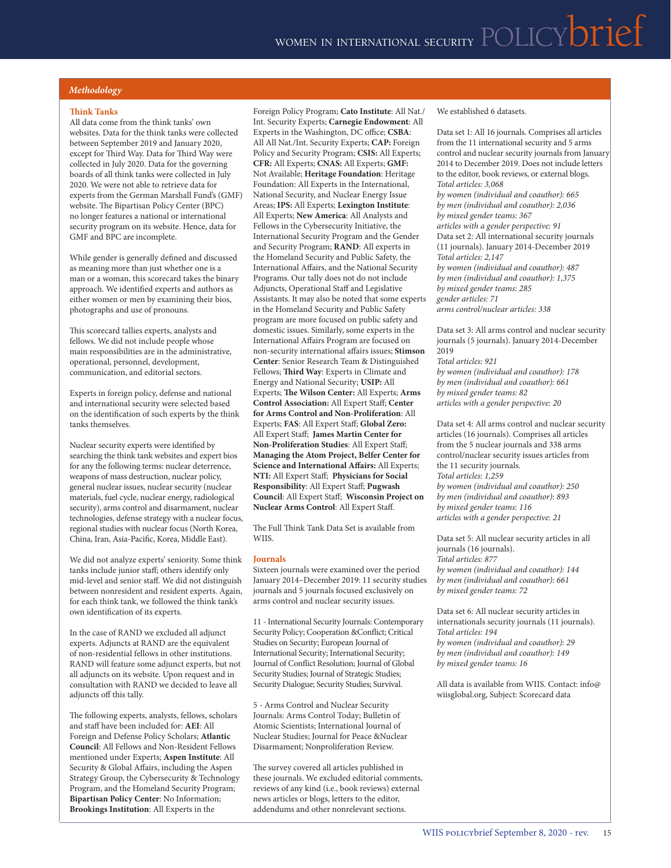#### *Methodology*

#### **Think Tanks**

All data come from the think tanks' own websites. Data for the think tanks were collected between September 2019 and January 2020, except for Third Way. Data for Third Way were collected in July 2020. Data for the governing boards of all think tanks were collected in July 2020. We were not able to retrieve data for experts from the German Marshall Fund's (GMF) website. The Bipartisan Policy Center (BPC) no longer features a national or international security program on its website. Hence, data for GMF and BPC are incomplete.

While gender is generally defined and discussed as meaning more than just whether one is a man or a woman, this scorecard takes the binary approach. We identified experts and authors as either women or men by examining their bios, photographs and use of pronouns.

This scorecard tallies experts, analysts and fellows. We did not include people whose main responsibilities are in the administrative, operational, personnel, development, communication, and editorial sectors.

Experts in foreign policy, defense and national and international security were selected based on the identification of such experts by the think tanks themselves.

Nuclear security experts were identified by searching the think tank websites and expert bios for any the following terms: nuclear deterrence, weapons of mass destruction, nuclear policy, general nuclear issues, nuclear security (nuclear materials, fuel cycle, nuclear energy, radiological security), arms control and disarmament, nuclear technologies, defense strategy with a nuclear focus, regional studies with nuclear focus (North Korea, China, Iran, Asia-Pacific, Korea, Middle East).

We did not analyze experts' seniority. Some think tanks include junior staff; others identify only mid-level and senior staff. We did not distinguish between nonresident and resident experts. Again, for each think tank, we followed the think tank's own identification of its experts.

In the case of RAND we excluded all adjunct experts. Adjuncts at RAND are the equivalent of non-residential fellows in other institutions. RAND will feature some adjunct experts, but not all adjuncts on its website. Upon request and in consultation with RAND we decided to leave all adjuncts off this tally.

The following experts, analysts, fellows, scholars and staff have been included for: **AEI**: All Foreign and Defense Policy Scholars; **Atlantic Council**: All Fellows and Non-Resident Fellows mentioned under Experts; **Aspen Institute**: All Security & Global Affairs, including the Aspen Strategy Group, the Cybersecurity & Technology Program, and the Homeland Security Program; **Bipartisan Policy Center**: No Information; **Brookings Institution**: All Experts in the

Foreign Policy Program; **Cato Institute**: All Nat./ Int. Security Experts; **Carnegie Endowment**: All Experts in the Washington, DC office; **CSBA**: All All Nat./Int. Security Experts; **CAP:** Foreign Policy and Security Program; **CSIS:** All Experts; **CFR:** All Experts; **CNAS:** All Experts; **GMF:**  Not Available; **Heritage Foundation**: Heritage Foundation: All Experts in the International, National Security, and Nuclear Energy Issue Areas; **IPS:** All Experts; **Lexington Institute**: All Experts; **New America**: All Analysts and Fellows in the Cybersecurity Initiative, the International Security Program and the Gender and Security Program; **RAND**: All experts in the Homeland Security and Public Safety, the International Affairs, and the National Security Programs. Our tally does not do not include Adjuncts, Operational Staff and Legislative Assistants. It may also be noted that some experts in the Homeland Security and Public Safety program are more focused on public safety and domestic issues. Similarly, some experts in the International Affairs Program are focused on non-security international affairs issues; **Stimson Center**: Senior Research Team & Distinguished Fellows; **Third Way**: Experts in Climate and Energy and National Security; **USIP:** All Experts; **The Wilson Center:** All Experts; **Arms Control Association:** All Expert Staff; **Center for Arms Control and Non-Proliferation**: All Experts; **FAS**: All Expert Staff; **Global Zero:** All Expert Staff; **James Martin Center for Non-Proliferation Studies**: All Expert Staff; **Managing the Atom Project, Belfer Center for Science and International Affairs:** All Experts; **NTI:** All Expert Staff; **Physicians for Social Responsibility**: All Expert Staff; **Pugwash Council**: All Expert Staff; **Wisconsin Project on Nuclear Arms Control**: All Expert Staff.

The Full Think Tank Data Set is available from WIIS.

#### **Journals**

Sixteen journals were examined over the period January 2014–December 2019: 11 security studies journals and 5 journals focused exclusively on arms control and nuclear security issues.

11 - International Security Journals: Contemporary Security Policy; Cooperation &Conflict; Critical Studies on Security; European Journal of International Security; International Security; Journal of Conflict Resolution; Journal of Global Security Studies; Journal of Strategic Studies; Security Dialogue; Security Studies; Survival.

5 - Arms Control and Nuclear Security Journals: Arms Control Today; Bulletin of Atomic Scientists; International Journal of Nuclear Studies; Journal for Peace &Nuclear Disarmament; Nonproliferation Review.

The survey covered all articles published in these journals. We excluded editorial comments, reviews of any kind (i.e., book reviews) external news articles or blogs, letters to the editor, addendums and other nonrelevant sections.

We established 6 datasets.

Data set 1: All 16 journals. Comprises all articles from the 11 international security and 5 arms control and nuclear security journals from January 2014 to December 2019. Does not include letters to the editor, book reviews, or external blogs. *Total articles: 3,068 by women (individual and coauthor): 665 by men (individual and coauthor): 2,036 by mixed gender teams: 367 articles with a gender perspective: 91* Data set 2: All international security journals (11 journals). January 2014-December 2019 *Total articles: 2,147 by women (individual and coauthor): 487 by men (individual and coauthor): 1,375 by mixed gender teams: 285 gender articles: 71*

*arms control/nuclear articles: 338*

Data set 3: All arms control and nuclear security journals (5 journals). January 2014-December 2019

*Total articles: 921 by women (individual and coauthor): 178 by men (individual and coauthor): 661 by mixed gender teams: 82 articles with a gender perspective: 20*

Data set 4: All arms control and nuclear security articles (16 journals). Comprises all articles from the 5 nuclear journals and 338 arms control/nuclear security issues articles from the 11 security journals. *Total articles: 1,259 by women (individual and coauthor): 250 by men (individual and coauthor): 893 by mixed gender teams: 116 articles with a gender perspective: 21*

Data set 5: All nuclear security articles in all journals (16 journals). *Total articles: 877 by women (individual and coauthor): 144 by men (individual and coauthor): 661 by mixed gender teams: 72*

Data set 6: All nuclear security articles in internationals security journals (11 journals). *Total articles: 194 by women (individual and coauthor): 29 by men (individual and coauthor): 149 by mixed gender teams: 16*

All data is available from WIIS. Contact: info@ wiisglobal.org, Subject: Scorecard data